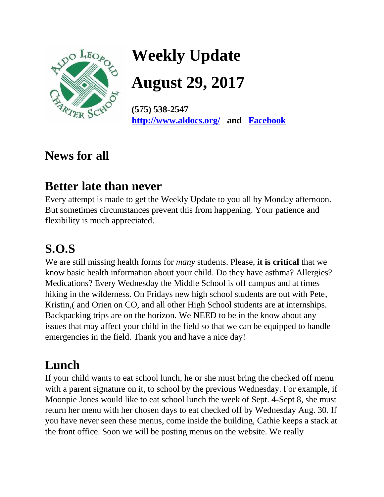

**Weekly Update** 

**August 29, 2017** 

**(575) 538-2547 <http://www.aldocs.org/>and [Facebook](https://www.facebook.com/search/top/?q=aldo%20leopold%20charter%20school)**

# **News for all**

# **Better late than never**

Every attempt is made to get the Weekly Update to you all by Monday afternoon. But sometimes circumstances prevent this from happening. Your patience and flexibility is much appreciated.

# **S.O.S**

We are still missing health forms for *many* students. Please, **it is critical** that we know basic health information about your child. Do they have asthma? Allergies? Medications? Every Wednesday the Middle School is off campus and at times hiking in the wilderness. On Fridays new high school students are out with Pete, Kristin,( and Orien on CO, and all other High School students are at internships. Backpacking trips are on the horizon. We NEED to be in the know about any issues that may affect your child in the field so that we can be equipped to handle emergencies in the field. Thank you and have a nice day!

# **Lunch**

If your child wants to eat school lunch, he or she must bring the checked off menu with a parent signature on it, to school by the previous Wednesday. For example, if Moonpie Jones would like to eat school lunch the week of Sept. 4-Sept 8, she must return her menu with her chosen days to eat checked off by Wednesday Aug. 30. If you have never seen these menus, come inside the building, Cathie keeps a stack at the front office. Soon we will be posting menus on the website. We really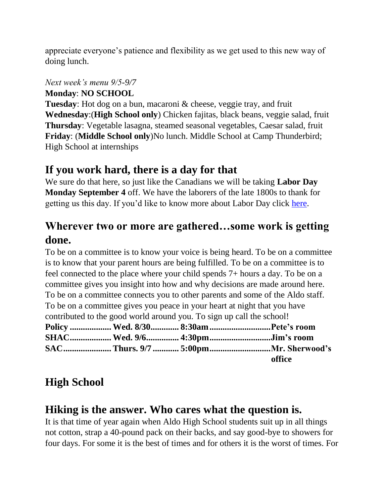appreciate everyone's patience and flexibility as we get used to this new way of doing lunch.

#### *Next week's menu 9/5-9/7*

**Monday**: **NO SCHOOL**

**Tuesday**: Hot dog on a bun, macaroni & cheese, veggie tray, and fruit **Wednesday**:(**High School only**) Chicken fajitas, black beans, veggie salad, fruit **Thursday**: Vegetable lasagna, steamed seasonal vegetables, Caesar salad, fruit **Friday**: (**Middle School only**)No lunch. Middle School at Camp Thunderbird; High School at internships

#### **If you work hard, there is a day for that**

We sure do that here, so just like the Canadians we will be taking **Labor Day Monday September 4** off. We have the laborers of the late 1800s to thank for getting us this day. If you'd like to know more about Labor Day click [here.](https://www.dol.gov/general/laborday/history)

#### **Wherever two or more are gathered…some work is getting done.**

To be on a committee is to know your voice is being heard. To be on a committee is to know that your parent hours are being fulfilled. To be on a committee is to feel connected to the place where your child spends 7+ hours a day. To be on a committee gives you insight into how and why decisions are made around here. To be on a committee connects you to other parents and some of the Aldo staff. To be on a committee gives you peace in your heart at night that you have contributed to the good world around you. To sign up call the school! **Policy ................... Wed. 8/30............. 8:30am............................Pete's room SHAC................... Wed. 9/6............... 4:30pm............................Jim's room SAC...................... Thurs. 9/7 ............ 5:00pm............................Mr. Sherwood's office** 

#### **High School**

#### **Hiking is the answer. Who cares what the question is.**

It is that time of year again when Aldo High School students suit up in all things not cotton, strap a 40-pound pack on their backs, and say good-bye to showers for four days. For some it is the best of times and for others it is the worst of times. For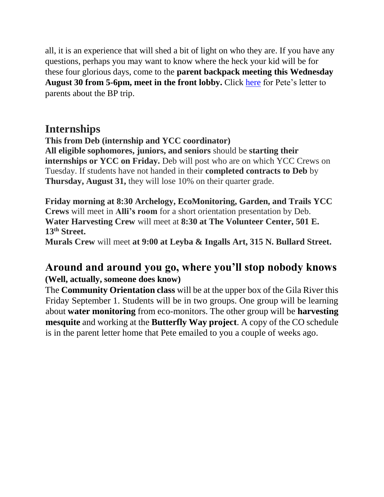all, it is an experience that will shed a bit of light on who they are. If you have any questions, perhaps you may want to know where the heck your kid will be for these four glorious days, come to the **parent backpack meeting this Wednesday August 30 from 5-6pm, meet in the front lobby.** Click [here](http://www.aldocs.org/highschool/BackPackParentLetterHome.pdf) for Pete's letter to parents about the BP trip.

#### **Internships**

**This from Deb (internship and YCC coordinator)**

**All eligible sophomores, juniors, and seniors** should be **starting their internships or YCC on Friday.** Deb will post who are on which YCC Crews on Tuesday. If students have not handed in their **completed contracts to Deb** by **Thursday, August 31,** they will lose 10% on their quarter grade.

**Friday morning at 8:30 Archelogy, EcoMonitoring, Garden, and Trails YCC Crews** will meet in **Alli's room** for a short orientation presentation by Deb. **Water Harvesting Crew** will meet at **8:30 at The Volunteer Center, 501 E. 13th Street. Murals Crew** will meet **at 9:00 at Leyba & Ingalls Art, 315 N. Bullard Street.**

#### **Around and around you go, where you'll stop nobody knows (Well, actually, someone does know)**

The **Community Orientation class** will be at the upper box of the Gila River this Friday September 1. Students will be in two groups. One group will be learning about **water monitoring** from eco-monitors. The other group will be **harvesting mesquite** and working at the **Butterfly Way project**. A copy of the CO schedule is in the parent letter home that Pete emailed to you a couple of weeks ago.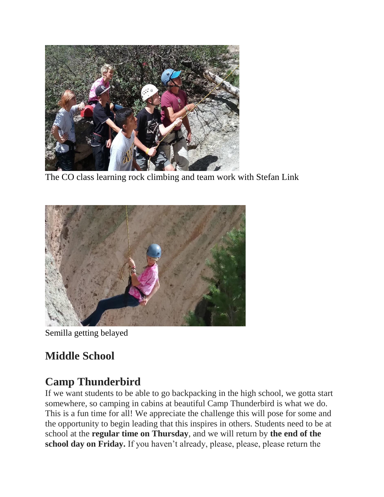

The CO class learning rock climbing and team work with Stefan Link



Semilla getting belayed

# **Middle School**

# **Camp Thunderbird**

If we want students to be able to go backpacking in the high school, we gotta start somewhere, so camping in cabins at beautiful Camp Thunderbird is what we do. This is a fun time for all! We appreciate the challenge this will pose for some and the opportunity to begin leading that this inspires in others. Students need to be at school at the **regular time on Thursday**, and we will return by **the end of the school day on Friday.** If you haven't already, please, please, please return the